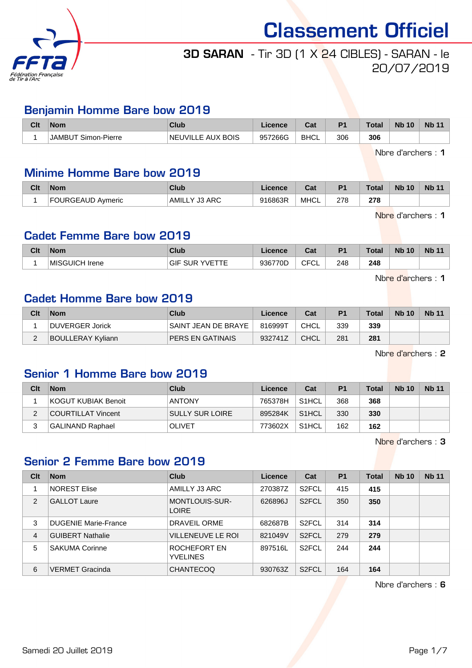

# 3D SARAN - Tir 3D (1 X 24 CIBLES) - SARAN - le 20/07/2019

## Benjamin Homme Bare bow 2019

| Clt | <b>Nom</b>             | Club                               | icence  | r.,<br>⊍a   | D <sub>1</sub> | <b>Total</b> | <b>Nb 10</b> | <b>Nb</b> |
|-----|------------------------|------------------------------------|---------|-------------|----------------|--------------|--------------|-----------|
|     | Simon-Pierre<br>JAMBI' | : AUX BOIS<br><b>NE</b><br>IVILLE. | 957266G | <b>BHCL</b> | 306            | 306          |              |           |

Nbre d'archers : 1

#### Minime Homme Bare bow 2019

| Clt | <b>Nom</b>        | <b>Club</b>                       | ∟icence | $\sim$<br>uai | P <sub>1</sub> | Total | <b>Nb 10</b> | <b>Nb 11</b> |
|-----|-------------------|-----------------------------------|---------|---------------|----------------|-------|--------------|--------------|
|     | FOURGEAUD Aymeric | Y J3 ARC_<br><sup>I</sup> AMILL L | 916863R | <b>MHCL</b>   | 278            | 278   |              |              |

Nbre d'archers : 1

#### Cadet Femme Bare bow 2019

| Clt | <b>Nom</b>      | Club              | Licence | <b>Cot</b><br>ual | D <sub>1</sub> | Total | <b>Nb</b><br>10 | <b>Nb 11</b> |
|-----|-----------------|-------------------|---------|-------------------|----------------|-------|-----------------|--------------|
|     | ⊺MISGUICH Irene | GII<br>UR<br>'∖/⊢ | 936770D | CFCI<br>◡∟        | 248            | 248   |                 |              |

Nbre d'archers : 1

#### Cadet Homme Bare bow 2019

| Clt | <b>Nom</b>               | Club                    | Licence | Cat  | P <sub>1</sub> | <b>Total</b> | <b>Nb 10</b> | <b>Nb 11</b> |
|-----|--------------------------|-------------------------|---------|------|----------------|--------------|--------------|--------------|
|     | DUVERGER Jorick          | SAINT JEAN DE BRAYE     | 816999T | CHCL | 339            | 339          |              |              |
| ີ   | <b>BOULLERAY Kyliann</b> | <b>PERS EN GATINAIS</b> | 932741Z | CHCL | 281            | 281          |              |              |

Nbre d'archers : 2

## Senior 1 Homme Bare bow 2019

| Clt | <b>Nom</b>          | Club                   | Licence | Cat                | P <sub>1</sub> | <b>Total</b> | <b>Nb 10</b> | <b>Nb 11</b> |
|-----|---------------------|------------------------|---------|--------------------|----------------|--------------|--------------|--------------|
|     | KOGUT KUBIAK Benoit | <b>ANTONY</b>          | 765378H | S <sub>1</sub> HCL | 368            | 368          |              |              |
|     | COURTILLAT Vincent  | <b>SULLY SUR LOIRE</b> | 895284K | S <sub>1</sub> HCL | 330            | 330          |              |              |
|     | GALINAND Raphael    | <b>OLIVET</b>          | 773602X | S <sub>1</sub> HCL | 162            | 162          |              |              |

Nbre d'archers : 3

#### Senior 2 Femme Bare bow 2019

| Clt            | <b>Nom</b>                  | Club                                  | Licence | Cat                | <b>P1</b> | <b>Total</b> | <b>Nb 10</b> | <b>Nb 11</b> |
|----------------|-----------------------------|---------------------------------------|---------|--------------------|-----------|--------------|--------------|--------------|
|                | <b>NOREST Elise</b>         | AMILLY J3 ARC                         | 270387Z | S <sub>2</sub> FCL | 415       | 415          |              |              |
| $\overline{2}$ | <b>GALLOT Laure</b>         | <b>MONTLOUIS-SUR-</b><br><b>LOIRE</b> | 626896J | S <sub>2</sub> FCL | 350       | 350          |              |              |
| 3              | <b>DUGENIE Marie-France</b> | DRAVEIL ORME                          | 682687B | S <sub>2</sub> FCL | 314       | 314          |              |              |
| $\overline{4}$ | <b>GUIBERT Nathalie</b>     | <b>VILLENEUVE LE ROI</b>              | 821049V | S <sub>2</sub> FCL | 279       | 279          |              |              |
| 5              | <b>SAKUMA Corinne</b>       | ROCHEFORT EN<br><b>YVELINES</b>       | 897516L | S <sub>2</sub> FCL | 244       | 244          |              |              |
| 6              | <b>VERMET Gracinda</b>      | <b>CHANTECOQ</b>                      | 930763Z | S <sub>2</sub> FCL | 164       | 164          |              |              |

Nbre d'archers : 6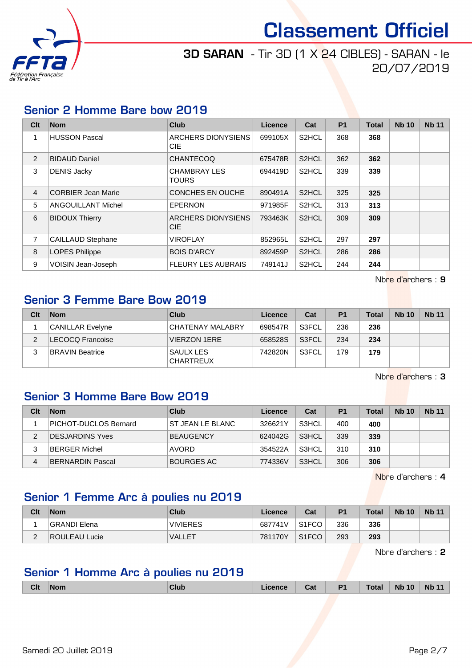

## 3D SARAN - Tir 3D (1 X 24 CIBLES) - SARAN - le 20/07/2019

#### Senior 2 Homme Bare bow 2019

| Clt            | <b>Nom</b>                | <b>Club</b>                         | <b>Licence</b> | Cat                | <b>P1</b> | <b>Total</b> | <b>Nb 10</b> | <b>Nb 11</b> |
|----------------|---------------------------|-------------------------------------|----------------|--------------------|-----------|--------------|--------------|--------------|
|                | <b>HUSSON Pascal</b>      | ARCHERS DIONYSIENS<br><b>CIE</b>    | 699105X        | S <sub>2</sub> HCL | 368       | 368          |              |              |
| 2              | <b>BIDAUD Daniel</b>      | <b>CHANTECOQ</b>                    | 675478R        | S <sub>2</sub> HCL | 362       | 362          |              |              |
| 3              | <b>DENIS Jacky</b>        | <b>CHAMBRAY LES</b><br><b>TOURS</b> | 694419D        | S <sub>2</sub> HCL | 339       | 339          |              |              |
| $\overline{4}$ | <b>CORBIER Jean Marie</b> | <b>CONCHES EN OUCHE</b>             | 890491A        | S <sub>2</sub> HCL | 325       | 325          |              |              |
| 5              | <b>ANGOUILLANT Michel</b> | <b>EPERNON</b>                      | 971985F        | S <sub>2</sub> HCL | 313       | 313          |              |              |
| 6              | <b>BIDOUX Thierry</b>     | ARCHERS DIONYSIENS<br>CIE.          | 793463K        | S <sub>2</sub> HCL | 309       | 309          |              |              |
| 7              | <b>CAILLAUD Stephane</b>  | <b>VIROFLAY</b>                     | 852965L        | S <sub>2</sub> HCL | 297       | 297          |              |              |
| 8              | <b>LOPES Philippe</b>     | <b>BOIS D'ARCY</b>                  | 892459P        | S <sub>2</sub> HCL | 286       | 286          |              |              |
| 9              | VOISIN Jean-Joseph        | <b>FLEURY LES AUBRAIS</b>           | 749141J        | S <sub>2</sub> HCL | 244       | 244          |              |              |

Nbre d'archers : 9

#### Senior 3 Femme Bare Bow 2019

| Clt | <b>Nom</b>              | Club                          | Licence | Cat   | P <sub>1</sub> | <b>Total</b> | <b>Nb 10</b> | <b>Nb 11</b> |
|-----|-------------------------|-------------------------------|---------|-------|----------------|--------------|--------------|--------------|
|     | CANILLAR Evelyne        | CHATENAY MALABRY              | 698547R | S3FCL | 236            | 236          |              |              |
|     | <b>LECOCQ Francoise</b> | <b>VIERZON 1ERE</b>           | 658528S | S3FCL | 234            | 234          |              |              |
| 2   | <b>BRAVIN Beatrice</b>  | SAULX LES<br><b>CHARTREUX</b> | 742820N | S3FCL | 179            | 179          |              |              |

Nbre d'archers : 3

## Senior 3 Homme Bare Bow 2019

| Clt | <b>Nom</b>                   | Club              | Licence | Cat   | P <sub>1</sub> | <b>Total</b> | <b>Nb 10</b> | <b>Nb 11</b> |
|-----|------------------------------|-------------------|---------|-------|----------------|--------------|--------------|--------------|
|     | <b>PICHOT-DUCLOS Bernard</b> | ST JEAN LE BLANC  | 326621Y | S3HCL | 400            | 400          |              |              |
| っ   | <b>DESJARDINS Yves</b>       | <b>BEAUGENCY</b>  | 624042G | S3HCL | 339            | 339          |              |              |
|     | <b>BERGER Michel</b>         | AVORD             | 354522A | S3HCL | 310            | 310          |              |              |
| 4   | <b>BERNARDIN Pascal</b>      | <b>BOURGES AC</b> | 774336V | S3HCL | 306            | 306          |              |              |

Nbre d'archers : 4

## Senior 1 Femme Arc à poulies nu 2019

| Clt    | <b>Nom</b>          | Club            | Licence | Cat                | D <sub>1</sub> | Total | <b>Nb 10</b> | <b>Nb 11</b> |
|--------|---------------------|-----------------|---------|--------------------|----------------|-------|--------------|--------------|
|        | <b>GRANDI Elena</b> | <b>VIVIERES</b> | 687741V | S <sub>1</sub> FCO | 336            | 336   |              |              |
| $\sim$ | ROULEAU Lucie       | <b>NALLET</b>   | 781170Y | S <sub>1</sub> FCO | 293            | 293   |              |              |

Nbre d'archers : 2

## Senior 1 Homme Arc à poulies nu 2019

| <b>Clt</b> | <b>Nom</b> | <b>Club</b> | icence | Cat | D <sub>1</sub><br>. . | $\tau$ otal<br>- ---- | <b>N<sub>b</sub></b><br>10<br>____ | <b>Nb</b><br>- - - |
|------------|------------|-------------|--------|-----|-----------------------|-----------------------|------------------------------------|--------------------|
|            |            |             |        |     |                       |                       |                                    |                    |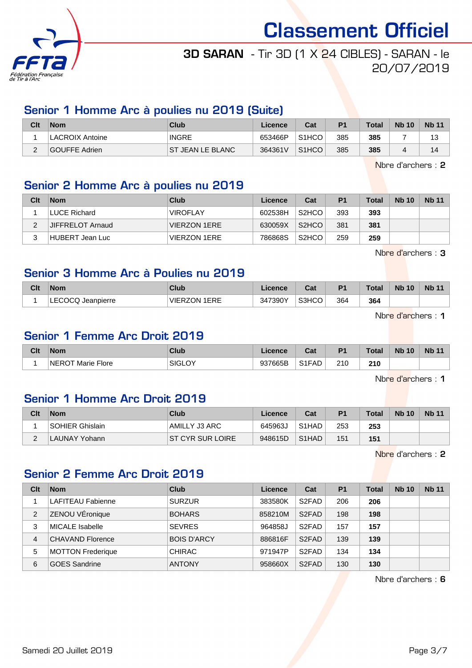

## 3D SARAN - Tir 3D (1 X 24 CIBLES) - SARAN - le 20/07/2019

## Senior 1 Homme Arc à poulies nu 2019 (Suite)

| Clt      | <b>Nom</b>             | Club                     | Licence | Cat                | D <sub>1</sub> | <b>Total</b> | <b>Nb 10</b> | <b>Nb 11</b> |
|----------|------------------------|--------------------------|---------|--------------------|----------------|--------------|--------------|--------------|
|          | <b>LACROIX Antoine</b> | <b>INGRE</b>             | 653466P | S <sub>1</sub> HCO | 385            | 385          |              | 13           |
| <u>_</u> | GOUFFE Adrien          | <b>IST JEAN LE BLANC</b> | 364361V | S <sub>1</sub> HCO | 385            | 385          | 4            | 14           |

Nbre d'archers : 2

#### Senior 2 Homme Arc à poulies nu 2019

| Clt | <b>Nom</b>       | Club                | Licence | Cat                | P <sub>1</sub> | <b>Total</b> | <b>Nb 10</b> | <b>Nb 11</b> |
|-----|------------------|---------------------|---------|--------------------|----------------|--------------|--------------|--------------|
|     | LUCE Richard     | <b>VIROFLAY</b>     | 602538H | S <sub>2</sub> HCO | 393            | 393          |              |              |
|     | JIFFRELOT Arnaud | <b>VIERZON 1ERE</b> | 630059X | S <sub>2</sub> HCO | 381            | 381          |              |              |
| 2   | HUBERT Jean Luc  | <b>VIERZON 1ERE</b> | 786868S | S <sub>2</sub> HCO | 259            | 259          |              |              |

Nbre d'archers : 3

## Senior 3 Homme Arc à Poulies nu 2019

| Clt | <b>Nom</b>       | <b>Club</b>            | .icence             | Col.<br><b>va</b> | P <sub>1</sub> | <b>Total</b> | <b>Nb 10</b> | Nb <sub>1</sub> |
|-----|------------------|------------------------|---------------------|-------------------|----------------|--------------|--------------|-----------------|
|     | ECOCQ Jeanpierre | 1ERE<br><b>VIERZON</b> | 347390 <sup>V</sup> | S3HCO             | 364            | 364          |              |                 |

Nbre d'archers : 1

## Senior 1 Femme Arc Droit 2019

| Clt | <b>Nom</b>                  | Club             | Licence | $F - F$<br>ual | P <sub>1</sub> | Total | <b>Nb</b><br>10 | <b>Nb 11</b> |
|-----|-----------------------------|------------------|---------|----------------|----------------|-------|-----------------|--------------|
|     | <b>NEROT</b><br>Marie Flore | $\sim$<br>SIGLO' | 937665B | $S1FAD +$      | 210            | 210   |                 |              |

Nbre d'archers : 1

## Senior 1 Homme Arc Droit 2019

| Clt | <b>Nom</b>      | Club              | Licence | Cat                             | P <sub>1</sub> | <b>Total</b> | <b>Nb 10</b> | <b>Nb 11</b> |
|-----|-----------------|-------------------|---------|---------------------------------|----------------|--------------|--------------|--------------|
|     | SOHIER Ghislain | AMILLY J3 ARC     | 645963J | S <sub>1</sub> H <sub>A</sub> D | 253            | 253          |              |              |
| ৴   | LAUNAY Yohann   | IST CYR SUR LOIRE | 948615D | S <sub>1</sub> HAD              | 151            | 151          |              |              |

Nbre d'archers : 2

## Senior 2 Femme Arc Droit 2019

| Clt | <b>Nom</b>               | Club               | Licence | Cat                | P <sub>1</sub> | Total | <b>Nb 10</b> | <b>Nb 11</b> |
|-----|--------------------------|--------------------|---------|--------------------|----------------|-------|--------------|--------------|
|     | <b>LAFITEAU Fabienne</b> | <b>SURZUR</b>      | 383580K | S <sub>2</sub> FAD | 206            | 206   |              |              |
| 2   | ZENOU VÉronique          | <b>BOHARS</b>      | 858210M | S <sub>2</sub> FAD | 198            | 198   |              |              |
| 3   | MICALE Isabelle          | <b>SEVRES</b>      | 964858J | S <sub>2</sub> FAD | 157            | 157   |              |              |
| 4   | CHAVAND Florence         | <b>BOIS D'ARCY</b> | 886816F | S <sub>2</sub> FAD | 139            | 139   |              |              |
| 5   | <b>MOTTON Frederique</b> | <b>CHIRAC</b>      | 971947P | S <sub>2</sub> FAD | 134            | 134   |              |              |
| 6   | <b>GOES Sandrine</b>     | <b>ANTONY</b>      | 958660X | S <sub>2</sub> FAD | 130            | 130   |              |              |

Nbre d'archers : 6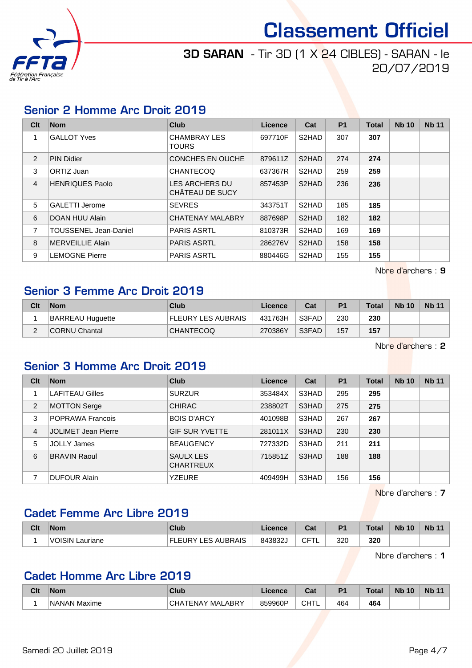

## 3D SARAN - Tir 3D (1 X 24 CIBLES) - SARAN - le 20/07/2019

#### Senior 2 Homme Arc Droit 2019

| Clt            | <b>Nom</b>                   | Club                                     | Licence | Cat                | <b>P1</b> | <b>Total</b> | <b>Nb 10</b> | <b>Nb 11</b> |
|----------------|------------------------------|------------------------------------------|---------|--------------------|-----------|--------------|--------------|--------------|
|                | <b>GALLOT Yves</b>           | <b>CHAMBRAY LES</b><br><b>TOURS</b>      | 697710F | S <sub>2</sub> HAD | 307       | 307          |              |              |
| $\overline{2}$ | <b>PIN Didier</b>            | CONCHES EN OUCHE                         | 879611Z | S2HAD              | 274       | 274          |              |              |
| 3              | ORTIZ Juan                   | <b>CHANTECOQ</b>                         | 637367R | S <sub>2</sub> HAD | 259       | 259          |              |              |
| $\overline{4}$ | <b>HENRIQUES Paolo</b>       | <b>LES ARCHERS DU</b><br>CHÂTEAU DE SUCY | 857453P | S <sub>2</sub> HAD | 236       | 236          |              |              |
| 5              | <b>GALETTI Jerome</b>        | <b>SEVRES</b>                            | 343751T | S <sub>2</sub> HAD | 185       | 185          |              |              |
| 6              | DOAN HUU Alain               | <b>CHATENAY MALABRY</b>                  | 887698P | S <sub>2</sub> HAD | 182       | 182          |              |              |
| $\overline{7}$ | <b>TOUSSENEL Jean-Daniel</b> | <b>PARIS ASRTL</b>                       | 810373R | S <sub>2</sub> HAD | 169       | 169          |              |              |
| 8              | <b>MERVEILLIE Alain</b>      | <b>PARIS ASRTL</b>                       | 286276V | S <sub>2</sub> HAD | 158       | 158          |              |              |
| 9              | LEMOGNE Pierre               | <b>PARIS ASRTL</b>                       | 880446G | S <sub>2</sub> HAD | 155       | 155          |              |              |

Nbre d'archers : 9

#### Senior 3 Femme Arc Droit 2019

| Clt | <b>Nom</b>              | Club               | Licence | Cat   | P <sub>1</sub> | <b>Total</b> | <b>Nb 10</b> | <b>Nb 11</b> |
|-----|-------------------------|--------------------|---------|-------|----------------|--------------|--------------|--------------|
|     | <b>BARREAU Huguette</b> | FLEURY LES AUBRAIS | 431763H | S3FAD | 230            | 230          |              |              |
| ີ   | CORNU Chantal           | <b>CHANTECOQ</b>   | 270386Y | S3FAD | 157            | 157          |              |              |

Nbre d'archers : 2

## Senior 3 Homme Arc Droit 2019

| Clt | <b>Nom</b>                 | <b>Club</b>                   | Licence | Cat   | <b>P1</b> | <b>Total</b> | <b>Nb 10</b> | <b>Nb 11</b> |
|-----|----------------------------|-------------------------------|---------|-------|-----------|--------------|--------------|--------------|
|     | <b>LAFITEAU Gilles</b>     | <b>SURZUR</b>                 | 353484X | S3HAD | 295       | 295          |              |              |
| 2   | <b>MOTTON Serge</b>        | <b>CHIRAC</b>                 | 238802T | S3HAD | 275       | 275          |              |              |
| 3   | POPRAWA Francois           | <b>BOIS D'ARCY</b>            | 401098B | S3HAD | 267       | 267          |              |              |
| 4   | <b>JOLIMET Jean Pierre</b> | <b>GIF SUR YVETTE</b>         | 281011X | S3HAD | 230       | 230          |              |              |
| 5   | <b>JOLLY James</b>         | <b>BEAUGENCY</b>              | 727332D | S3HAD | 211       | 211          |              |              |
| 6   | <b>BRAVIN Raoul</b>        | SAULX LES<br><b>CHARTREUX</b> | 715851Z | S3HAD | 188       | 188          |              |              |
|     | <b>DUFOUR Alain</b>        | YZEURE                        | 409499H | S3HAD | 156       | 156          |              |              |

Nbre d'archers : 7

## Cadet Femme Arc Libre 2019

| Clt | Nom                      | Club                         | icence | Col.<br>val        | P <sub>1</sub> | <b>Total</b> | <b>Nb 10</b> | <b>Nb 11</b> |
|-----|--------------------------|------------------------------|--------|--------------------|----------------|--------------|--------------|--------------|
|     | <b>JISIN</b><br>Lauriane | LES AUBRAIS<br>URY'<br>EL EI | 843832 | $\cap$<br>1 L<br>◡ | 320            | 320          |              |              |

Nbre d'archers : 1

## Cadet Homme Arc Libre 2019

| Clt | Nom              | <b>Club</b>                                     | ence    | $R_{\rm{eff}}$<br>ual | D4  | Total | <b>Nb</b><br>10 | <b>Nb</b><br>AA |
|-----|------------------|-------------------------------------------------|---------|-----------------------|-----|-------|-----------------|-----------------|
|     | 'NANAN<br>Maxime | <b>ALABRY</b><br>MAL<br>. ⊢NA⊻<br>$\cdot$<br>−− | 859960P | $\cap$ LITI<br>◡⊓⊥∟   | 464 | 464   |                 |                 |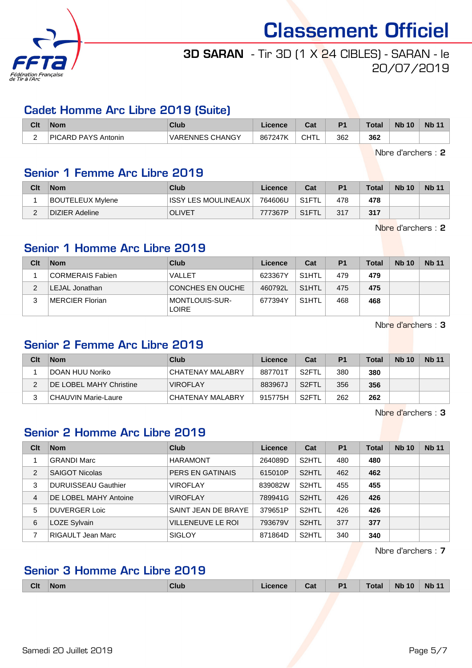

## 3D SARAN - Tir 3D (1 X 24 CIBLES) - SARAN - le 20/07/2019

#### Cadet Homme Arc Libre 2019 (Suite)

| Clt                                  | <b>Nom</b>                 | Club                             | <b>_icence</b> | <b>Date</b><br>ual | D <sub>1</sub> | Total | <b>N<sub>b</sub></b><br>10 | Nb <sub>1</sub> |
|--------------------------------------|----------------------------|----------------------------------|----------------|--------------------|----------------|-------|----------------------------|-----------------|
| $\overline{\phantom{0}}$<br><u>.</u> | <b>PICARD PAYS Antonin</b> | <b>CHANGY</b><br><b>VARENNES</b> | 247K<br>8672   | CHTL               | 362            | 362   |                            |                 |

Nbre d'archers : 2

## Senior 1 Femme Arc Libre 2019

| Clt | <b>Nom</b>            | Club                   | Licence | Cat   | P <sub>1</sub> | <b>Total</b> | <b>Nb 10</b> | <b>Nb 11</b> |
|-----|-----------------------|------------------------|---------|-------|----------------|--------------|--------------|--------------|
|     | BOUTELEUX Mylene      | IISSY LES MOULINEAUX I | 764606U | S1FTL | 478            | 478          |              |              |
|     | <b>DIZIER Adeline</b> | <b>OLIVET</b>          | 777367P | S1FTL | 317            | 317          |              |              |

Nbre d'archers : 2

## Senior 1 Homme Arc Libre 2019

| Clt | <b>Nom</b>       | Club                           | Licence | Cat                | P <sub>1</sub> | Total | <b>Nb 10</b> | <b>Nb 11</b> |
|-----|------------------|--------------------------------|---------|--------------------|----------------|-------|--------------|--------------|
|     | CORMERAIS Fabien | VALLET                         | 623367Y | S <sub>1</sub> HTL | 479            | 479   |              |              |
| ົ   | LEJAL Jonathan   | CONCHES EN OUCHE               | 460792L | S <sub>1</sub> HTL | 475            | 475   |              |              |
| 2   | MERCIER Florian  | MONTLOUIS-SUR-<br><b>LOIRE</b> | 677394Y | S <sub>1</sub> HTL | 468            | 468   |              |              |

Nbre d'archers : 3

#### Senior 2 Femme Arc Libre 2019

| Clt | <b>Nom</b>                     | Club             | Licence | Cat                | P <sub>1</sub> | <b>Total</b> | <b>Nb</b> 10 | <b>Nb 11</b> |
|-----|--------------------------------|------------------|---------|--------------------|----------------|--------------|--------------|--------------|
|     | DOAN HUU Noriko                | CHATENAY MALABRY | 887701T | S <sub>2</sub> FTL | 380            | 380          |              |              |
|     | <b>DE LOBEL MAHY Christine</b> | <b>VIROFLAY</b>  | 883967J | S <sub>2</sub> FTL | 356            | 356          |              |              |
|     | CHAUVIN Marie-Laure            | CHATENAY MALABRY | 915775H | S2FTL              | 262            | 262          |              |              |

Nbre d'archers : 3

## Senior 2 Homme Arc Libre 2019

| Clt            | <b>Nom</b>                 | Club                     | Licence | Cat                | <b>P1</b> | <b>Total</b> | <b>Nb 10</b> | <b>Nb 11</b> |
|----------------|----------------------------|--------------------------|---------|--------------------|-----------|--------------|--------------|--------------|
|                | <b>GRANDI Marc</b>         | <b>HARAMONT</b>          | 264089D | S <sub>2</sub> HTL | 480       | 480          |              |              |
| 2              | <b>SAIGOT Nicolas</b>      | PERS EN GATINAIS         | 615010P | S <sub>2</sub> HTL | 462       | 462          |              |              |
| 3              | <b>DURUISSEAU Gauthier</b> | <b>VIROFLAY</b>          | 839082W | S <sub>2</sub> HTL | 455       | 455          |              |              |
| $\overline{4}$ | DE LOBEL MAHY Antoine      | <b>VIROFLAY</b>          | 789941G | S <sub>2</sub> HTL | 426       | 426          |              |              |
| 5              | <b>DUVERGER Loic</b>       | SAINT JEAN DE BRAYE      | 379651P | S <sub>2</sub> HTL | 426       | 426          |              |              |
| 6              | LOZE Sylvain               | <b>VILLENEUVE LE ROI</b> | 793679V | S <sub>2</sub> HTL | 377       | 377          |              |              |
|                | <b>RIGAULT Jean Marc</b>   | <b>SIGLOY</b>            | 871864D | S <sub>2</sub> HTL | 340       | 340          |              |              |

Nbre d'archers : 7

## Senior 3 Homme Arc Libre 2019

| <b>Clt</b> | <b>Nom</b> | <b>Club</b> | icence | Cat | P <sub>1</sub><br>гı. | <b>Total</b> | <b>N<sub>b</sub></b><br>10 | <b>Nb</b><br>. |
|------------|------------|-------------|--------|-----|-----------------------|--------------|----------------------------|----------------|
|            |            |             |        |     |                       |              |                            |                |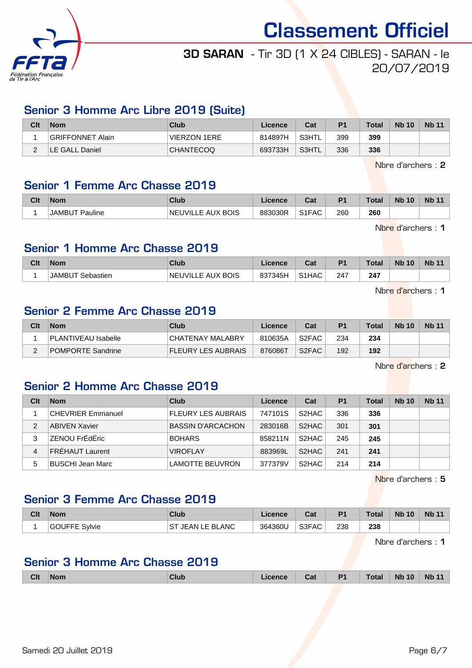

# 3D SARAN - Tir 3D (1 X 24 CIBLES) - SARAN - le 20/07/2019

## Senior 3 Homme Arc Libre 2019 (Suite)

| Clt | Nom              | Club                | Licence | Cat   | P <sub>1</sub> | <b>Total</b> | <b>Nb 10</b> | <b>Nb 11</b> |
|-----|------------------|---------------------|---------|-------|----------------|--------------|--------------|--------------|
|     | GRIFFONNET Alain | <b>VIERZON 1ERE</b> | 814897H | S3HTL | 399            | 399          |              |              |
| -   | LE GALL Daniel   | <b>CHANTECOQ</b>    | 693733H | S3HTL | 336            | 336          |              |              |

Nbre d'archers : 2

#### Senior 1 Femme Arc Chasse 2019

| Clt | <b>Nom</b>                            | Club                          | .icence | <b>Cost</b><br>va. | P <sub>1</sub> | <b>Total</b> | <b>Nb 10</b> | <b>Nb 11</b> |
|-----|---------------------------------------|-------------------------------|---------|--------------------|----------------|--------------|--------------|--------------|
|     | <sup>-</sup> Pauline<br><b>JAMBUT</b> | UVILLE AUX BOIS:<br><b>NE</b> | 883030R | S1FAC              | 260            | 260          |              |              |

Nbre d'archers : 1

#### Senior 1 Homme Arc Chasse 2019

| Clt | <b>Nom</b>         | Club              | .icence | $r_{nt}$<br>val                | P <sub>1</sub> | <b>Total</b> | <b>Nb 10</b> | <b>Nb</b> |
|-----|--------------------|-------------------|---------|--------------------------------|----------------|--------------|--------------|-----------|
|     | JAMBL<br>Sebastien | NEUVILLE AUX BOIS | 837345H | S <sub>1</sub> H <sub>AC</sub> | 247            | 247          |              |           |

Nbre d'archers : 1

## Senior 2 Femme Arc Chasse 2019

| Clt | Nom                      | Club               | Licence | Cat                | P <sub>1</sub> | <b>Total</b> | <b>Nb 10</b> | <b>Nb 11</b> |
|-----|--------------------------|--------------------|---------|--------------------|----------------|--------------|--------------|--------------|
|     | PLANTIVEAU Isabelle      | CHATENAY MALABRY   | 810635A | S2FAC              | 234            | 234          |              |              |
|     | <b>POMPORTE Sandrine</b> | FLEURY LES AUBRAIS | 876086T | S <sub>2</sub> FAC | 192            | 192          |              |              |

Nbre d'archers : 2

## Senior 2 Homme Arc Chasse 2019

| Clt | <b>Nom</b>               | Club                      | Licence | Cat                | P <sub>1</sub> | <b>Total</b> | <b>Nb 10</b> | <b>Nb 11</b> |
|-----|--------------------------|---------------------------|---------|--------------------|----------------|--------------|--------------|--------------|
|     | <b>CHEVRIER Emmanuel</b> | <b>FLEURY LES AUBRAIS</b> | 747101S | S <sub>2</sub> HAC | 336            | 336          |              |              |
| 2   | <b>ABIVEN Xavier</b>     | <b>BASSIN D'ARCACHON</b>  | 283016B | S <sub>2</sub> HAC | 301            | 301          |              |              |
| 3   | ZENOU FrÉdÉric           | <b>BOHARS</b>             | 858211N | S <sub>2</sub> HAC | 245            | 245          |              |              |
| 4   | <b>FRÉHAUT Laurent</b>   | <b>VIROFLAY</b>           | 883969L | S <sub>2</sub> HAC | 241            | 241          |              |              |
| 5   | BUSCHI Jean Marc         | <b>LAMOTTE BEUVRON</b>    | 377379V | S <sub>2</sub> HAC | 214            | 214          |              |              |

Nbre d'archers : 5

#### Senior 3 Femme Arc Chasse 2019

| Clt | <b>Nom</b>              | Club                             | Licence | r.,<br>'val | P <sub>1</sub> | <b>Total</b> | <b>Nb 10</b> | <b>Nb 11</b> |
|-----|-------------------------|----------------------------------|---------|-------------|----------------|--------------|--------------|--------------|
|     | Svlvie<br><b>GOUFFE</b> | <sup>-</sup> JEAN LE BLANC<br>SТ | 364360U | S3FAC       | 238            | 238          |              |              |

Nbre d'archers : 1

## Senior 3 Homme Arc Chasse 2019

| <b>Clt</b><br>D <sub>1</sub><br>Club<br><b>Nom</b><br>Cat<br>Licence | <b>Total</b> | <b>Nb 10</b><br><b>N<sub>b</sub></b> | 11 |
|----------------------------------------------------------------------|--------------|--------------------------------------|----|
|----------------------------------------------------------------------|--------------|--------------------------------------|----|